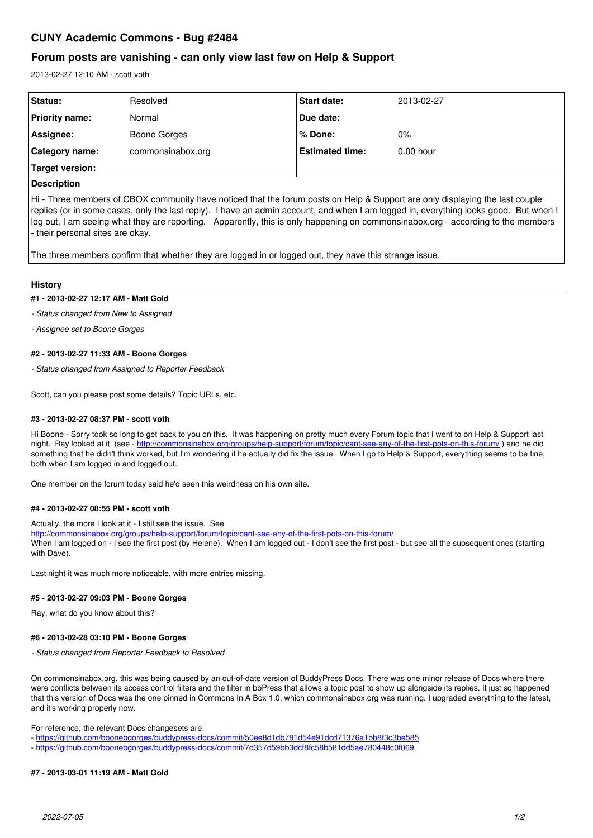# **CUNY Academic Commons - Bug #2484**

## **Forum posts are vanishing - can only view last few on Help & Support**

2013-02-27 12:10 AM - scott voth

| Status:          | Resolved          | <b>Start date:</b>     | 2013-02-27  |
|------------------|-------------------|------------------------|-------------|
| Priority name:   | Normal            | Due date:              |             |
| Assignee:        | Boone Gorges      | l % Done:              | $0\%$       |
| ∣ Category name: | commonsinabox.org | <b>Estimated time:</b> | $0.00$ hour |
| Target version:  |                   |                        |             |

## **Description**

Hi - Three members of CBOX community have noticed that the forum posts on Help & Support are only displaying the last couple replies (or in some cases, only the last reply). I have an admin account, and when I am logged in, everything looks good. But when I log out, I am seeing what they are reporting. Apparently, this is only happening on commonsinabox.org - according to the members - their personal sites are okay.

The three members confirm that whether they are logged in or logged out, they have this strange issue.

#### **History**

#### **#1 - 2013-02-27 12:17 AM - Matt Gold**

*- Status changed from New to Assigned*

*- Assignee set to Boone Gorges*

#### **#2 - 2013-02-27 11:33 AM - Boone Gorges**

*- Status changed from Assigned to Reporter Feedback*

Scott, can you please post some details? Topic URLs, etc.

#### **#3 - 2013-02-27 08:37 PM - scott voth**

Hi Boone - Sorry took so long to get back to you on this. It was happening on pretty much every Forum topic that I went to on Help & Support last night. Ray looked at it (see - http://commonsinabox.org/groups/help-support/forum/topic/cant-see-any-of-the-first-pots-on-this-forum/) and he did something that he didn't think worked, but I'm wondering if he actually did fix the issue. When I go to Help & Support, everything seems to be fine, both when I am logged in and logged out.

One member on the forum today said he'd seen this weirdness on his own site.

#### **#4 - 2013-02-27 08:55 PM - scott voth**

Actually, the more I look at it - I still see the issue. See

<http://commonsinabox.org/groups/help-support/forum/topic/cant-see-any-of-the-first-pots-on-this-forum/>

When I am logged on - I see the first post (by Helene). When I am logged out - I don't see the first post - but see all the subsequent ones (starting with Dave).

Last night it was much more noticeable, with more entries missing.

#### **#5 - 2013-02-27 09:03 PM - Boone Gorges**

Ray, what do you know about this?

### **#6 - 2013-02-28 03:10 PM - Boone Gorges**

*- Status changed from Reporter Feedback to Resolved*

On commonsinabox.org, this was being caused by an out-of-date version of BuddyPress Docs. There was one minor release of Docs where there were conflicts between its access control filters and the filter in bbPress that allows a topic post to show up alongside its replies. It just so happened that this version of Docs was the one pinned in Commons In A Box 1.0, which commonsinabox.org was running. I upgraded everything to the latest, and it's working properly now.

For reference, the relevant Docs changesets are:

### **#7 - 2013-03-01 11:19 AM - Matt Gold**

<sup>-</sup><https://github.com/boonebgorges/buddypress-docs/commit/50ee8d1db781d54e91dcd71376a1bb8f3c3be585>

<sup>-</sup><https://github.com/boonebgorges/buddypress-docs/commit/7d357d59bb3dcf8fc58b581dd5ae780448c0f069>